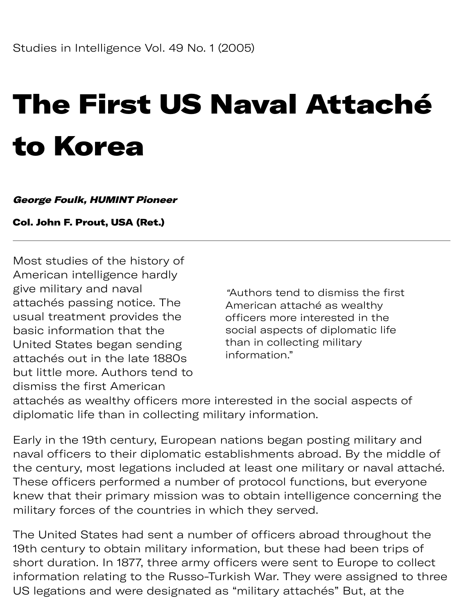# The First US Naval Attaché to Korea

#### George Foulk, HUMINT Pioneer

#### Col. John F. Prout, USA (Ret.)

Most studies of the history of American intelligence hardly give military and naval "Authors tend to dismiss the first attachés passing notice. The american attaché as wealthy usual treatment provides the officers more interested in the basic information that the social aspects of diplomatic life United States began sending than in collecting military<br>ethology out in the lote 1880s information." attachés out in the late 1880s but little more. Authors tend to dismiss the first American

attachés as wealthy officers more interested in the social aspects of diplomatic life than in collecting military information.

Early in the 19th century, European nations began posting military and naval officers to their diplomatic establishments abroad. By the middle of the century, most legations included at least one military or naval attaché. These officers performed a number of protocol functions, but everyone knew that their primary mission was to obtain intelligence concerning the military forces of the countries in which they served.

The United States had sent a number of officers abroad throughout the 19th century to obtain military information, but these had been trips of short duration. In 1877, three army officers were sent to Europe to collect information relating to the Russo-Turkish War. They were assigned to three US legations and were designated as "military attachés" But, at the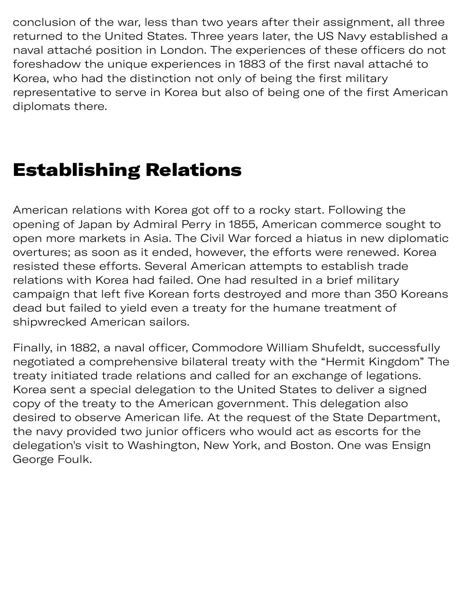g sig y a conclusion of the war, less than two years after their assignment, all three returned to the United States. Three years later, the US Navy established a naval attaché position in London. The experiences of these officers do not foreshadow the unique experiences in 1883 of the first naval attaché to Korea, who had the distinction not only of being the first military representative to serve in Korea but also of being one of the first American diplomats there.

## Establishing Relations

American relations with Korea got off to a rocky start. Following the opening of Japan by Admiral Perry in 1855, American commerce sought to open more markets in Asia. The Civil War forced a hiatus in new diplomatic overtures; as soon as it ended, however, the efforts were renewed. Korea resisted these efforts. Several American attempts to establish trade relations with Korea had failed. One had resulted in a brief military campaign that left five Korean forts destroyed and more than 350 Koreans dead but failed to yield even a treaty for the humane treatment of shipwrecked American sailors.

Finally, in 1882, a naval officer, Commodore William Shufeldt, successfully negotiated a comprehensive bilateral treaty with the "Hermit Kingdom" The treaty initiated trade relations and called for an exchange of legations. Korea sent a special delegation to the United States to deliver a signed copy of the treaty to the American government. This delegation also desired to observe American life. At the request of the State Department, the navy provided two junior officers who would act as escorts for the delegation's visit to Washington, New York, and Boston. One was Ensign George Foulk.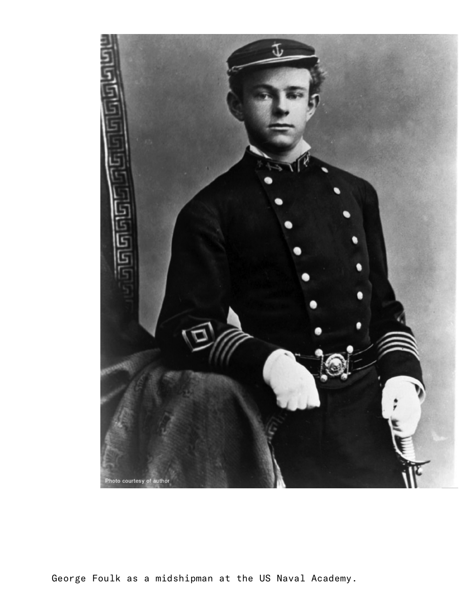

George Foulk as a midshipman at the US Naval Academy.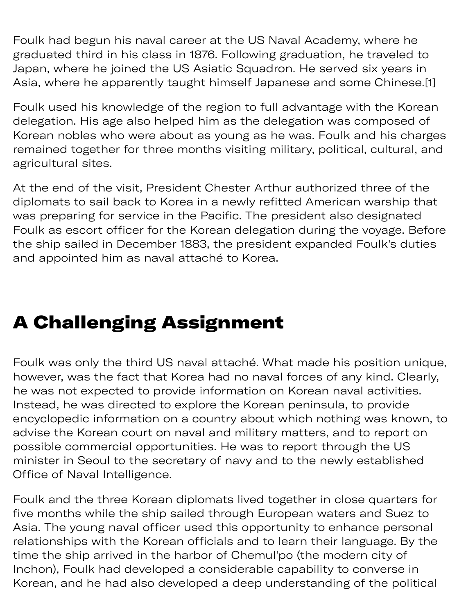Foulk had begun his naval career at the US Naval Academy, where he graduated third in his class in 1876. Following graduation, he traveled to Japan, where he joined the US Asiatic Squadron. He served six years in Asia, where he apparently taught himself Japanese and some Chinese.[1]

Foulk used his knowledge of the region to full advantage with the Korean delegation. His age also helped him as the delegation was composed of Korean nobles who were about as young as he was. Foulk and his charges remained together for three months visiting military, political, cultural, and agricultural sites.

At the end of the visit, President Chester Arthur authorized three of the diplomats to sail back to Korea in a newly refitted American warship that was preparing for service in the Pacific. The president also designated Foulk as escort officer for the Korean delegation during the voyage. Before the ship sailed in December 1883, the president expanded Foulk's duties and appointed him as naval attaché to Korea.

# A Challenging Assignment

Foulk was only the third US naval attaché. What made his position unique, however, was the fact that Korea had no naval forces of any kind. Clearly, he was not expected to provide information on Korean naval activities. Instead, he was directed to explore the Korean peninsula, to provide encyclopedic information on a country about which nothing was known, to advise the Korean court on naval and military matters, and to report on possible commercial opportunities. He was to report through the US minister in Seoul to the secretary of navy and to the newly established Office of Naval Intelligence.

Foulk and the three Korean diplomats lived together in close quarters for five months while the ship sailed through European waters and Suez to Asia. The young naval officer used this opportunity to enhance personal relationships with the Korean officials and to learn their language. By the time the ship arrived in the harbor of Chemul'po (the modern city of Inchon), Foulk had developed a considerable capability to converse in Korean, and he had also developed a deep understanding of the political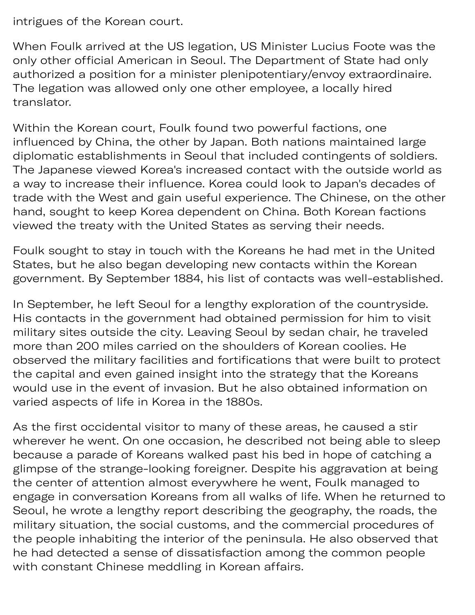intrigues of the Korean court.

When Foulk arrived at the US legation, US Minister Lucius Foote was the only other official American in Seoul. The Department of State had only authorized a position for a minister plenipotentiary/envoy extraordinaire. The legation was allowed only one other employee, a locally hired translator.

Within the Korean court, Foulk found two powerful factions, one influenced by China, the other by Japan. Both nations maintained large diplomatic establishments in Seoul that included contingents of soldiers. The Japanese viewed Korea's increased contact with the outside world as a way to increase their influence. Korea could look to Japan's decades of trade with the West and gain useful experience. The Chinese, on the other hand, sought to keep Korea dependent on China. Both Korean factions viewed the treaty with the United States as serving their needs.

Foulk sought to stay in touch with the Koreans he had met in the United States, but he also began developing new contacts within the Korean government. By September 1884, his list of contacts was well-established.

In September, he left Seoul for a lengthy exploration of the countryside. His contacts in the government had obtained permission for him to visit military sites outside the city. Leaving Seoul by sedan chair, he traveled more than 200 miles carried on the shoulders of Korean coolies. He observed the military facilities and fortifications that were built to protect the capital and even gained insight into the strategy that the Koreans would use in the event of invasion. But he also obtained information on varied aspects of life in Korea in the 1880s.

As the first occidental visitor to many of these areas, he caused a stir wherever he went. On one occasion, he described not being able to sleep because a parade of Koreans walked past his bed in hope of catching a glimpse of the strange-looking foreigner. Despite his aggravation at being the center of attention almost everywhere he went, Foulk managed to engage in conversation Koreans from all walks of life. When he returned to Seoul, he wrote a lengthy report describing the geography, the roads, the military situation, the social customs, and the commercial procedures of the people inhabiting the interior of the peninsula. He also observed that he had detected a sense of dissatisfaction among the common people with constant Chinese meddling in Korean affairs.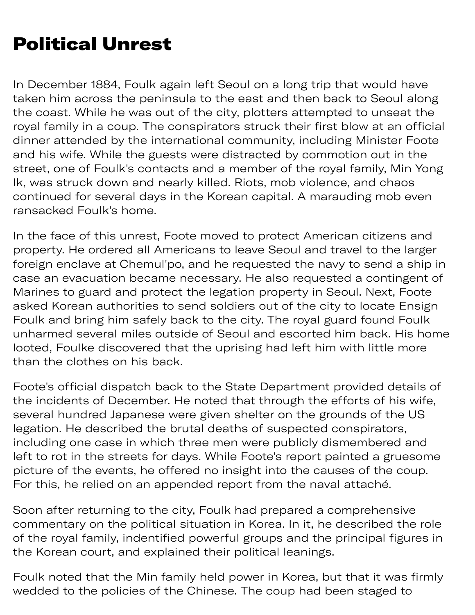# Political Unrest

In December 1884, Foulk again left Seoul on a long trip that would have taken him across the peninsula to the east and then back to Seoul along the coast. While he was out of the city, plotters attempted to unseat the royal family in a coup. The conspirators struck their first blow at an official dinner attended by the international community, including Minister Foote and his wife. While the guests were distracted by commotion out in the street, one of Foulk's contacts and a member of the royal family, Min Yong Ik, was struck down and nearly killed. Riots, mob violence, and chaos continued for several days in the Korean capital. A marauding mob even ransacked Foulk's home.

In the face of this unrest, Foote moved to protect American citizens and property. He ordered all Americans to leave Seoul and travel to the larger foreign enclave at Chemul'po, and he requested the navy to send a ship in case an evacuation became necessary. He also requested a contingent of Marines to guard and protect the legation property in Seoul. Next, Foote asked Korean authorities to send soldiers out of the city to locate Ensign Foulk and bring him safely back to the city. The royal guard found Foulk unharmed several miles outside of Seoul and escorted him back. His home looted, Foulke discovered that the uprising had left him with little more than the clothes on his back.

Foote's official dispatch back to the State Department provided details of the incidents of December. He noted that through the efforts of his wife, several hundred Japanese were given shelter on the grounds of the US legation. He described the brutal deaths of suspected conspirators, including one case in which three men were publicly dismembered and left to rot in the streets for days. While Foote's report painted a gruesome picture of the events, he offered no insight into the causes of the coup. For this, he relied on an appended report from the naval attaché.

Soon after returning to the city, Foulk had prepared a comprehensive commentary on the political situation in Korea. In it, he described the role of the royal family, indentified powerful groups and the principal figures in the Korean court, and explained their political leanings.

Foulk noted that the Min family held power in Korea, but that it was firmly wedded to the policies of the Chinese. The coup had been staged to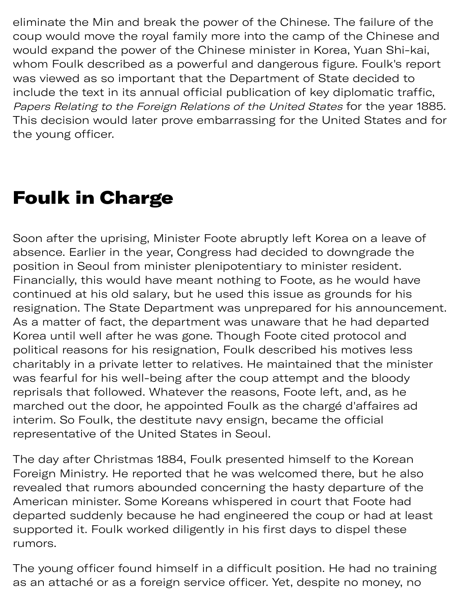e p up ha gant de la partie de la partie de la partie de la partie de la partie de la partie de la partie de l eliminate the Min and break the power of the Chinese. The failure of the coup would move the royal family more into the camp of the Chinese and would expand the power of the Chinese minister in Korea, Yuan Shi-kai, whom Foulk described as a powerful and dangerous figure. Foulk's report was viewed as so important that the Department of State decided to include the text in its annual official publication of key diplomatic traffic, Papers Relating to the Foreign Relations of the United States for the year 1885. This decision would later prove embarrassing for the United States and for the young officer.

#### Foulk in Charge

Soon after the uprising, Minister Foote abruptly left Korea on a leave of absence. Earlier in the year, Congress had decided to downgrade the position in Seoul from minister plenipotentiary to minister resident. Financially, this would have meant nothing to Foote, as he would have continued at his old salary, but he used this issue as grounds for his resignation. The State Department was unprepared for his announcement. As a matter of fact, the department was unaware that he had departed Korea until well after he was gone. Though Foote cited protocol and political reasons for his resignation, Foulk described his motives less charitably in a private letter to relatives. He maintained that the minister was fearful for his well-being after the coup attempt and the bloody reprisals that followed. Whatever the reasons, Foote left, and, as he marched out the door, he appointed Foulk as the chargé d'affaires ad interim. So Foulk, the destitute navy ensign, became the official representative of the United States in Seoul.

The day after Christmas 1884, Foulk presented himself to the Korean Foreign Ministry. He reported that he was welcomed there, but he also revealed that rumors abounded concerning the hasty departure of the American minister. Some Koreans whispered in court that Foote had departed suddenly because he had engineered the coup or had at least supported it. Foulk worked diligently in his first days to dispel these rumors.

The young officer found himself in a difficult position. He had no training as an attaché or as a foreign service officer. Yet, despite no money, no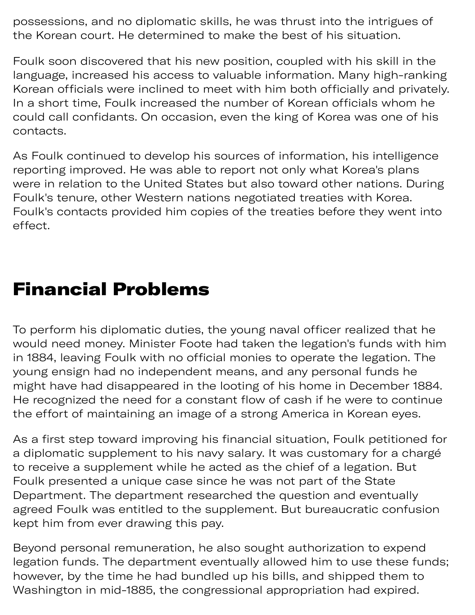possessions, and no diplomatic skills, he was thrust into the intrigues of the Korean court. He determined to make the best of his situation.

Foulk soon discovered that his new position, coupled with his skill in the language, increased his access to valuable information. Many high-ranking Korean officials were inclined to meet with him both officially and privately. In a short time, Foulk increased the number of Korean officials whom he could call confidants. On occasion, even the king of Korea was one of his contacts.

As Foulk continued to develop his sources of information, his intelligence reporting improved. He was able to report not only what Korea's plans were in relation to the United States but also toward other nations. During Foulk's tenure, other Western nations negotiated treaties with Korea. Foulk's contacts provided him copies of the treaties before they went into effect.

#### Financial Problems

To perform his diplomatic duties, the young naval officer realized that he would need money. Minister Foote had taken the legation's funds with him in 1884, leaving Foulk with no official monies to operate the legation. The young ensign had no independent means, and any personal funds he might have had disappeared in the looting of his home in December 1884. He recognized the need for a constant flow of cash if he were to continue the effort of maintaining an image of a strong America in Korean eyes.

As a first step toward improving his financial situation, Foulk petitioned for a diplomatic supplement to his navy salary. It was customary for a chargé to receive a supplement while he acted as the chief of a legation. But Foulk presented a unique case since he was not part of the State Department. The department researched the question and eventually agreed Foulk was entitled to the supplement. But bureaucratic confusion kept him from ever drawing this pay.

Beyond personal remuneration, he also sought authorization to expend legation funds. The department eventually allowed him to use these funds; however, by the time he had bundled up his bills, and shipped them to Washington in mid-1885, the congressional appropriation had expired.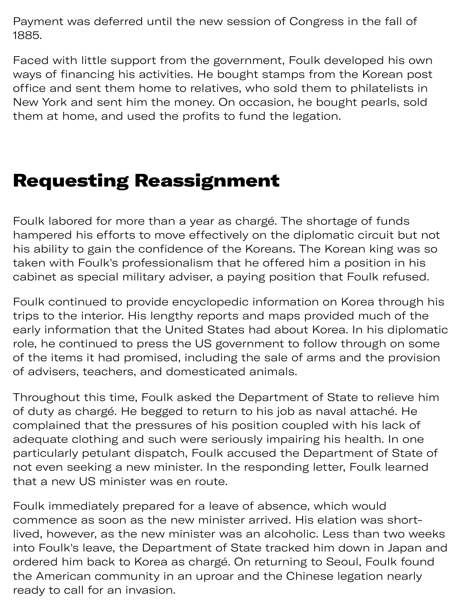Payment was deferred until the new session of Congress in the fall of 1885.

Faced with little support from the government, Foulk developed his own ways of financing his activities. He bought stamps from the Korean post office and sent them home to relatives, who sold them to philatelists in New York and sent him the money. On occasion, he bought pearls, sold them at home, and used the profits to fund the legation.

#### Requesting Reassignment

Foulk labored for more than a year as chargé. The shortage of funds hampered his efforts to move effectively on the diplomatic circuit but not his ability to gain the confidence of the Koreans. The Korean king was so taken with Foulk's professionalism that he offered him a position in his cabinet as special military adviser, a paying position that Foulk refused.

Foulk continued to provide encyclopedic information on Korea through his trips to the interior. His lengthy reports and maps provided much of the early information that the United States had about Korea. In his diplomatic role, he continued to press the US government to follow through on some of the items it had promised, including the sale of arms and the provision of advisers, teachers, and domesticated animals.

Throughout this time, Foulk asked the Department of State to relieve him of duty as chargé. He begged to return to his job as naval attaché. He complained that the pressures of his position coupled with his lack of adequate clothing and such were seriously impairing his health. In one particularly petulant dispatch, Foulk accused the Department of State of not even seeking a new minister. In the responding letter, Foulk learned that a new US minister was en route.

Foulk immediately prepared for a leave of absence, which would commence as soon as the new minister arrived. His elation was shortlived, however, as the new minister was an alcoholic. Less than two weeks into Foulk's leave, the Department of State tracked him down in Japan and ordered him back to Korea as chargé. On returning to Seoul, Foulk found the American community in an uproar and the Chinese legation nearly ready to call for an invasion.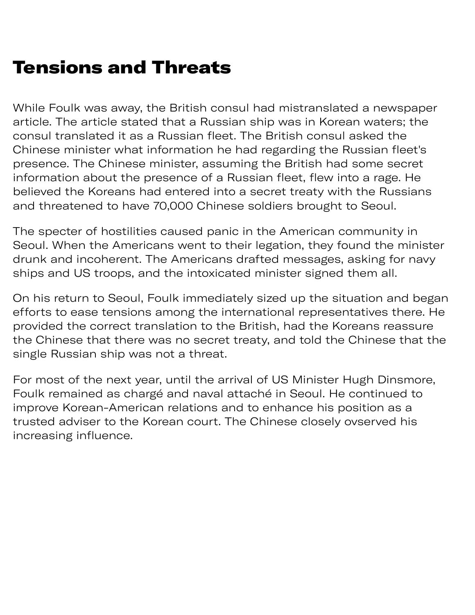# Tensions and Threats

While Foulk was away, the British consul had mistranslated a newspaper article. The article stated that a Russian ship was in Korean waters; the consul translated it as a Russian fleet. The British consul asked the Chinese minister what information he had regarding the Russian fleet's presence. The Chinese minister, assuming the British had some secret information about the presence of a Russian fleet, flew into a rage. He believed the Koreans had entered into a secret treaty with the Russians and threatened to have 70,000 Chinese soldiers brought to Seoul.

The specter of hostilities caused panic in the American community in Seoul. When the Americans went to their legation, they found the minister drunk and incoherent. The Americans drafted messages, asking for navy ships and US troops, and the intoxicated minister signed them all.

On his return to Seoul, Foulk immediately sized up the situation and began efforts to ease tensions among the international representatives there. He provided the correct translation to the British, had the Koreans reassure the Chinese that there was no secret treaty, and told the Chinese that the single Russian ship was not a threat.

For most of the next year, until the arrival of US Minister Hugh Dinsmore, Foulk remained as chargé and naval attaché in Seoul. He continued to improve Korean-American relations and to enhance his position as a trusted adviser to the Korean court. The Chinese closely ovserved his increasing influence.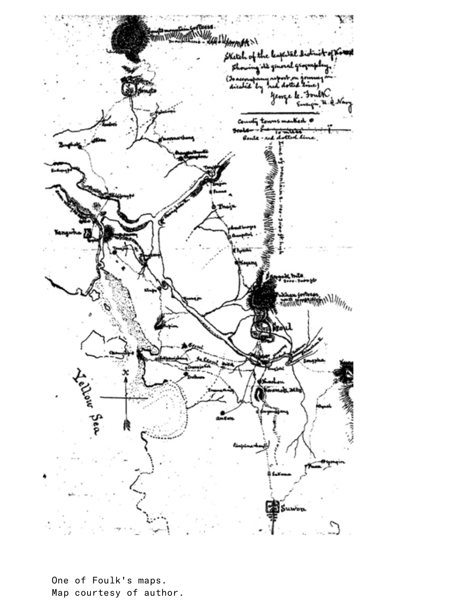

One of Foulk's maps. Map courtesy of author.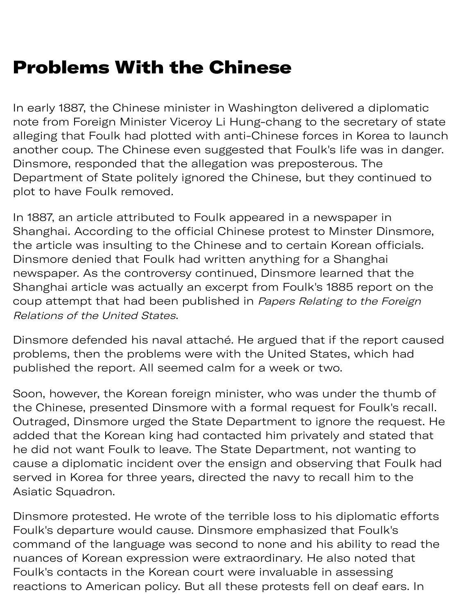In early 1887, the Chinese minister in Washington delivered a diplomatic note from Foreign Minister Viceroy Li Hung-chang to the secretary of state alleging that Foulk had plotted with anti-Chinese forces in Korea to launch another coup. The Chinese even suggested that Foulk's life was in danger. Dinsmore, responded that the allegation was preposterous. The Department of State politely ignored the Chinese, but they continued to plot to have Foulk removed.

In 1887, an article attributed to Foulk appeared in a newspaper in Shanghai. According to the official Chinese protest to Minster Dinsmore, the article was insulting to the Chinese and to certain Korean officials. Dinsmore denied that Foulk had written anything for a Shanghai newspaper. As the controversy continued, Dinsmore learned that the Shanghai article was actually an excerpt from Foulk's 1885 report on the coup attempt that had been published in Papers Relating to the Foreign Relations of the United States.

Dinsmore defended his naval attaché. He argued that if the report caused problems, then the problems were with the United States, which had published the report. All seemed calm for a week or two.

Soon, however, the Korean foreign minister, who was under the thumb of the Chinese, presented Dinsmore with a formal request for Foulk's recall. Outraged, Dinsmore urged the State Department to ignore the request. He added that the Korean king had contacted him privately and stated that he did not want Foulk to leave. The State Department, not wanting to cause a diplomatic incident over the ensign and observing that Foulk had served in Korea for three years, directed the navy to recall him to the Asiatic Squadron.

Dinsmore protested. He wrote of the terrible loss to his diplomatic efforts Foulk's departure would cause. Dinsmore emphasized that Foulk's command of the language was second to none and his ability to read the nuances of Korean expression were extraordinary. He also noted that Foulk's contacts in the Korean court were invaluable in assessing reactions to American policy. But all these protests fell on deaf ears. In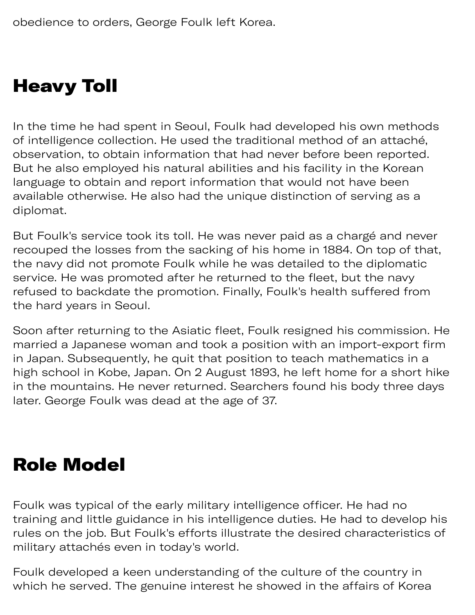## Heavy Toll

In the time he had spent in Seoul, Foulk had developed his own methods of intelligence collection. He used the traditional method of an attaché, observation, to obtain information that had never before been reported. But he also employed his natural abilities and his facility in the Korean language to obtain and report information that would not have been available otherwise. He also had the unique distinction of serving as a diplomat.

n p y e pr

But Foulk's service took its toll. He was never paid as a chargé and never recouped the losses from the sacking of his home in 1884. On top of that, the navy did not promote Foulk while he was detailed to the diplomatic service. He was promoted after he returned to the fleet, but the navy refused to backdate the promotion. Finally, Foulk's health suffered from the hard years in Seoul.

Soon after returning to the Asiatic fleet, Foulk resigned his commission. He married a Japanese woman and took a position with an import-export firm in Japan. Subsequently, he quit that position to teach mathematics in a high school in Kobe, Japan. On 2 August 1893, he left home for a short hike in the mountains. He never returned. Searchers found his body three days later. George Foulk was dead at the age of 37.

## Role Model

Foulk was typical of the early military intelligence officer. He had no training and little guidance in his intelligence duties. He had to develop his rules on the job. But Foulk's efforts illustrate the desired characteristics of military attachés even in today's world.

Foulk developed a keen understanding of the culture of the country in which he served. The genuine interest he showed in the affairs of Korea